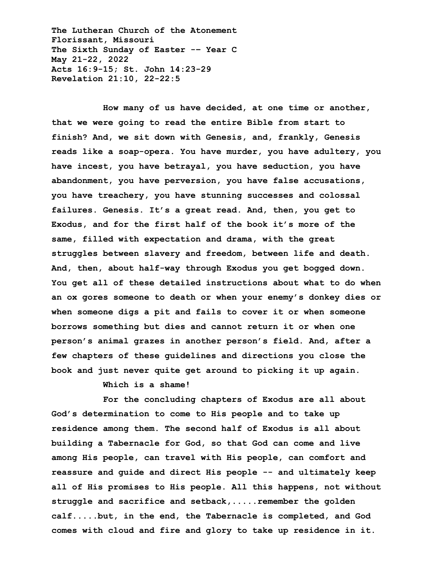**The Lutheran Church of the Atonement Florissant, Missouri The Sixth Sunday of Easter -– Year C May 21-22, 2022 Acts 16:9-15; St. John 14:23-29 Revelation 21:10, 22-22:5**

**How many of us have decided, at one time or another, that we were going to read the entire Bible from start to finish? And, we sit down with Genesis, and, frankly, Genesis reads like a soap-opera. You have murder, you have adultery, you have incest, you have betrayal, you have seduction, you have abandonment, you have perversion, you have false accusations, you have treachery, you have stunning successes and colossal failures. Genesis. It's a great read. And, then, you get to Exodus, and for the first half of the book it's more of the same, filled with expectation and drama, with the great struggles between slavery and freedom, between life and death. And, then, about half-way through Exodus you get bogged down. You get all of these detailed instructions about what to do when an ox gores someone to death or when your enemy's donkey dies or when someone digs a pit and fails to cover it or when someone borrows something but dies and cannot return it or when one person's animal grazes in another person's field. And, after a few chapters of these guidelines and directions you close the book and just never quite get around to picking it up again.**

**Which is a shame!**

**For the concluding chapters of Exodus are all about God's determination to come to His people and to take up residence among them. The second half of Exodus is all about building a Tabernacle for God, so that God can come and live among His people, can travel with His people, can comfort and reassure and guide and direct His people -- and ultimately keep all of His promises to His people. All this happens, not without struggle and sacrifice and setback,.....remember the golden calf.....but, in the end, the Tabernacle is completed, and God comes with cloud and fire and glory to take up residence in it.**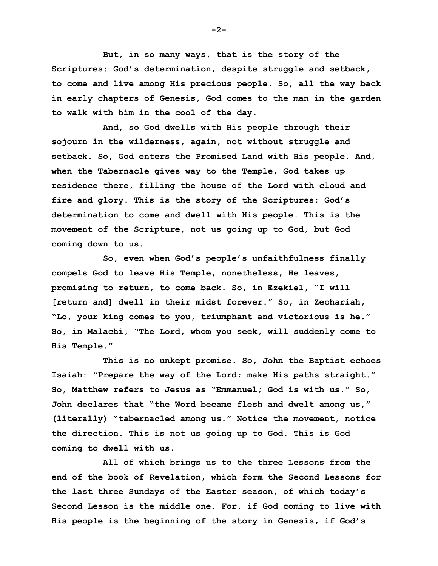**But, in so many ways, that is the story of the Scriptures: God's determination, despite struggle and setback, to come and live among His precious people. So, all the way back in early chapters of Genesis, God comes to the man in the garden to walk with him in the cool of the day.**

**And, so God dwells with His people through their sojourn in the wilderness, again, not without struggle and setback. So, God enters the Promised Land with His people. And, when the Tabernacle gives way to the Temple, God takes up residence there, filling the house of the Lord with cloud and fire and glory. This is the story of the Scriptures: God's determination to come and dwell with His people. This is the movement of the Scripture, not us going up to God, but God coming down to us.**

**So, even when God's people's unfaithfulness finally compels God to leave His Temple, nonetheless, He leaves, promising to return, to come back. So, in Ezekiel, "I will [return and] dwell in their midst forever." So, in Zechariah, "Lo, your king comes to you, triumphant and victorious is he." So, in Malachi, "The Lord, whom you seek, will suddenly come to His Temple."**

**This is no unkept promise. So, John the Baptist echoes Isaiah: "Prepare the way of the Lord; make His paths straight." So, Matthew refers to Jesus as "Emmanuel; God is with us." So, John declares that "the Word became flesh and dwelt among us," (literally) "tabernacled among us." Notice the movement, notice the direction. This is not us going up to God. This is God coming to dwell with us.**

**All of which brings us to the three Lessons from the end of the book of Revelation, which form the Second Lessons for the last three Sundays of the Easter season, of which today's Second Lesson is the middle one. For, if God coming to live with His people is the beginning of the story in Genesis, if God's** 

**-2-**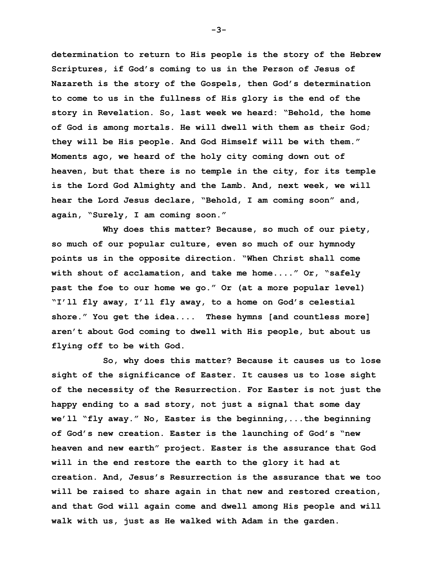**determination to return to His people is the story of the Hebrew Scriptures, if God's coming to us in the Person of Jesus of Nazareth is the story of the Gospels, then God's determination to come to us in the fullness of His glory is the end of the story in Revelation. So, last week we heard: "Behold, the home of God is among mortals. He will dwell with them as their God; they will be His people. And God Himself will be with them." Moments ago, we heard of the holy city coming down out of heaven, but that there is no temple in the city, for its temple is the Lord God Almighty and the Lamb. And, next week, we will hear the Lord Jesus declare, "Behold, I am coming soon" and, again, "Surely, I am coming soon."**

**Why does this matter? Because, so much of our piety, so much of our popular culture, even so much of our hymnody points us in the opposite direction. "When Christ shall come with shout of acclamation, and take me home...." Or, "safely past the foe to our home we go." Or (at a more popular level) "I'll fly away, I'll fly away, to a home on God's celestial shore." You get the idea.... These hymns [and countless more] aren't about God coming to dwell with His people, but about us flying off to be with God.**

**So, why does this matter? Because it causes us to lose sight of the significance of Easter. It causes us to lose sight of the necessity of the Resurrection. For Easter is not just the happy ending to a sad story, not just a signal that some day we'll "fly away." No, Easter is the beginning,...the beginning of God's new creation. Easter is the launching of God's "new heaven and new earth" project. Easter is the assurance that God will in the end restore the earth to the glory it had at creation. And, Jesus's Resurrection is the assurance that we too will be raised to share again in that new and restored creation, and that God will again come and dwell among His people and will walk with us, just as He walked with Adam in the garden.**

**-3-**